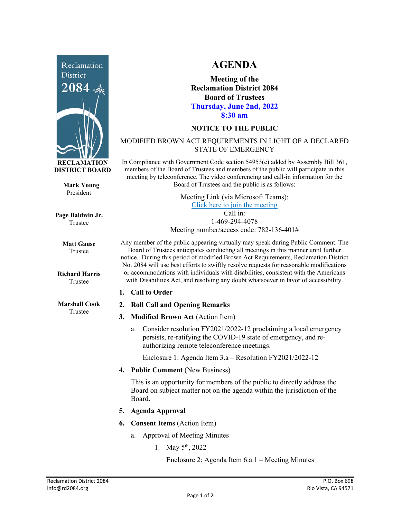

**Mark Young** President

**Page Baldwin Jr.** Trustee

> **Matt Gause** Trustee

**Richard Harris** Trustee

**Marshall Cook** Trustee

## **AGENDA**

**Meeting of the Reclamation District 2084 Board of Trustees Thursday, June 2nd, 2022 8:30 am**

## **NOTICE TO THE PUBLIC**

## MODIFIED BROWN ACT REQUIREMENTS IN LIGHT OF A DECLARED STATE OF EMERGENCY

In Compliance with Government Code section 54953(e) added by Assembly Bill 361, members of the Board of Trustees and members of the public will participate in this meeting by teleconference. The video conferencing and call-in information for the Board of Trustees and the public is as follows:

> Meeting Link (via Microsoft Teams): [Click here to join the meeting](https://teams.microsoft.com/l/meetup-join/19%3ameeting_NzRkNTUwODUtNzk5Zi00YzkxLTk1YmEtNjU5OGZlZDk1OTcz%40thread.v2/0?context=%7b%22Tid%22%3a%22f9038203-c87c-4f0e-b326-970a381acd40%22%2c%22Oid%22%3a%22b6a515a8-4d0a-410e-b81a-1dc60ae8c01d%22%7d) Call in: 1-469-294-4078

Meeting number/access code: 782-136-401#

Any member of the public appearing virtually may speak during Public Comment. The Board of Trustees anticipates conducting all meetings in this manner until further notice. During this period of modified Brown Act Requirements, Reclamation District No. 2084 will use best efforts to swiftly resolve requests for reasonable modifications or accommodations with individuals with disabilities, consistent with the Americans with Disabilities Act, and resolving any doubt whatsoever in favor of accessibility.

- **1. Call to Order**
- **2. Roll Call and Opening Remarks**
- **3. Modified Brown Act** (Action Item)
	- a. Consider resolution FY2021/2022-12 proclaiming a local emergency persists, re-ratifying the COVID-19 state of emergency, and reauthorizing remote teleconference meetings.

Enclosure 1: Agenda Item 3.a – Resolution FY2021/2022-12

**4. Public Comment** (New Business)

This is an opportunity for members of the public to directly address the Board on subject matter not on the agenda within the jurisdiction of the Board.

- **5. Agenda Approval**
- **6. Consent Items** (Action Item)
	- a. Approval of Meeting Minutes
		- 1. May  $5^{\text{th}}$ , 2022

Enclosure 2: Agenda Item 6.a.1 – Meeting Minutes